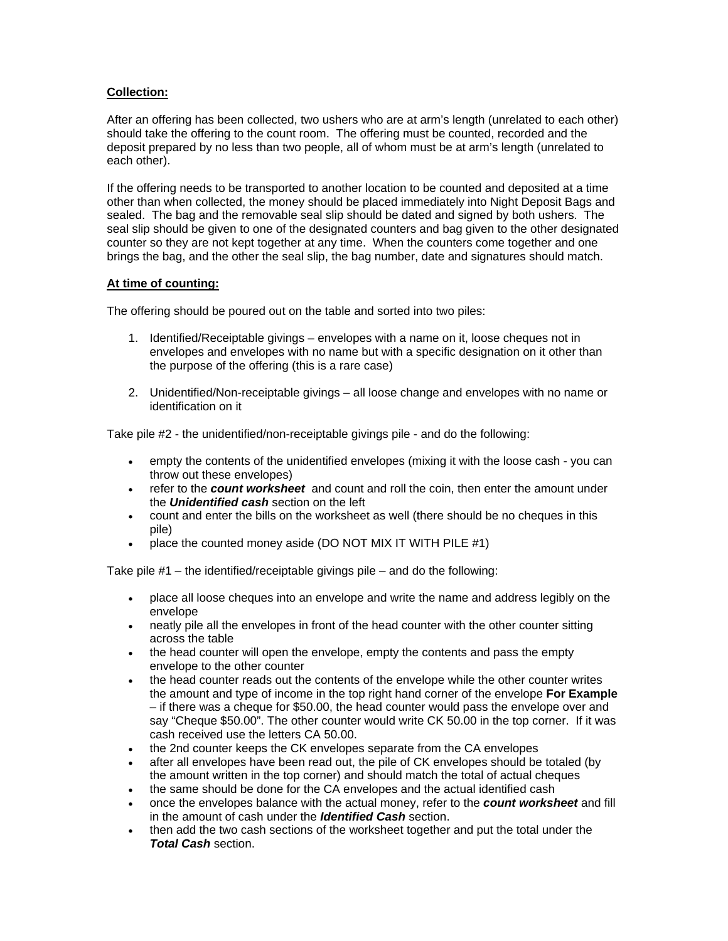## **Collection:**

After an offering has been collected, two ushers who are at arm's length (unrelated to each other) should take the offering to the count room. The offering must be counted, recorded and the deposit prepared by no less than two people, all of whom must be at arm's length (unrelated to each other).

If the offering needs to be transported to another location to be counted and deposited at a time other than when collected, the money should be placed immediately into Night Deposit Bags and sealed. The bag and the removable seal slip should be dated and signed by both ushers. The seal slip should be given to one of the designated counters and bag given to the other designated counter so they are not kept together at any time. When the counters come together and one brings the bag, and the other the seal slip, the bag number, date and signatures should match.

## **At time of counting:**

The offering should be poured out on the table and sorted into two piles:

- 1. Identified/Receiptable givings envelopes with a name on it, loose cheques not in envelopes and envelopes with no name but with a specific designation on it other than the purpose of the offering (this is a rare case)
- 2. Unidentified/Non-receiptable givings all loose change and envelopes with no name or identification on it

Take pile #2 - the unidentified/non-receiptable givings pile - and do the following:

- empty the contents of the unidentified envelopes (mixing it with the loose cash you can throw out these envelopes)
- refer to the *count worksheet* and count and roll the coin, then enter the amount under the *Unidentified cash* section on the left
- count and enter the bills on the worksheet as well (there should be no cheques in this pile)
- place the counted money aside (DO NOT MIX IT WITH PILE #1)

Take pile  $#1$  – the identified/receiptable givings pile – and do the following:

- place all loose cheques into an envelope and write the name and address legibly on the envelope
- neatly pile all the envelopes in front of the head counter with the other counter sitting across the table
- the head counter will open the envelope, empty the contents and pass the empty envelope to the other counter
- the head counter reads out the contents of the envelope while the other counter writes the amount and type of income in the top right hand corner of the envelope **For Example** – if there was a cheque for \$50.00, the head counter would pass the envelope over and say "Cheque \$50.00". The other counter would write CK 50.00 in the top corner. If it was cash received use the letters CA 50.00.
- the 2nd counter keeps the CK envelopes separate from the CA envelopes
- after all envelopes have been read out, the pile of CK envelopes should be totaled (by the amount written in the top corner) and should match the total of actual cheques
- the same should be done for the CA envelopes and the actual identified cash
- once the envelopes balance with the actual money, refer to the *count worksheet* and fill in the amount of cash under the *Identified Cash* section.
- then add the two cash sections of the worksheet together and put the total under the *Total Cash* section.